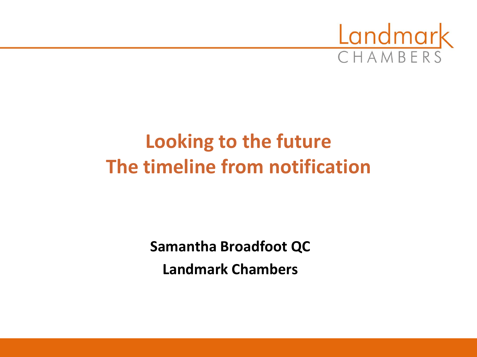

# **Looking to the future The timeline from notification**

**Samantha Broadfoot QC Landmark Chambers**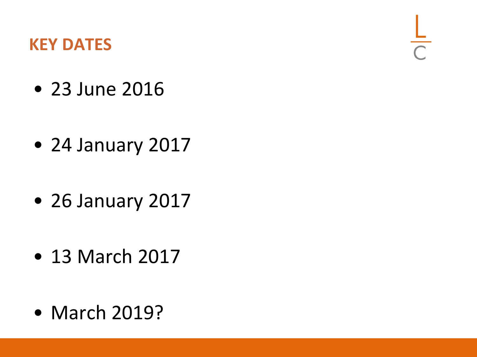**KEY DATES**

- 23 June 2016
- 24 January 2017
- 26 January 2017
- 13 March 2017
- March 2019?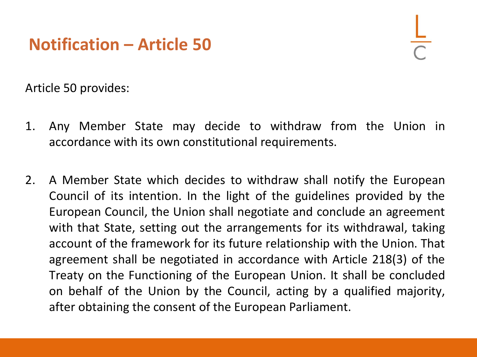#### **Notification – Article 50**

Article 50 provides:

- 1. Any Member State may decide to withdraw from the Union in accordance with its own constitutional requirements.
- 2. A Member State which decides to withdraw shall notify the European Council of its intention. In the light of the guidelines provided by the European Council, the Union shall negotiate and conclude an agreement with that State, setting out the arrangements for its withdrawal, taking account of the framework for its future relationship with the Union. That agreement shall be negotiated in accordance with Article 218(3) of the Treaty on the Functioning of the European Union. It shall be concluded on behalf of the Union by the Council, acting by a qualified majority, after obtaining the consent of the European Parliament.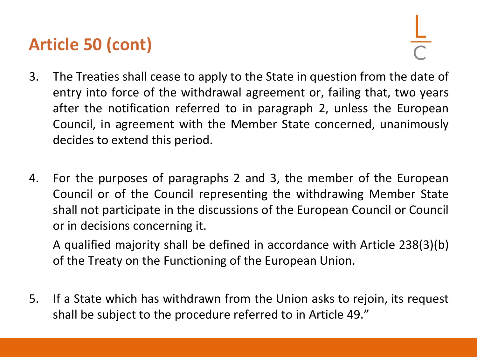#### **Article 50 (cont)**

- 3. The Treaties shall cease to apply to the State in question from the date of entry into force of the withdrawal agreement or, failing that, two years after the notification referred to in paragraph 2, unless the European Council, in agreement with the Member State concerned, unanimously decides to extend this period.
- 4. For the purposes of paragraphs 2 and 3, the member of the European Council or of the Council representing the withdrawing Member State shall not participate in the discussions of the European Council or Council or in decisions concerning it.

A qualified majority shall be defined in accordance with Article 238(3)(b) of the Treaty on the Functioning of the European Union.

5. If a State which has withdrawn from the Union asks to rejoin, its request shall be subject to the procedure referred to in Article 49."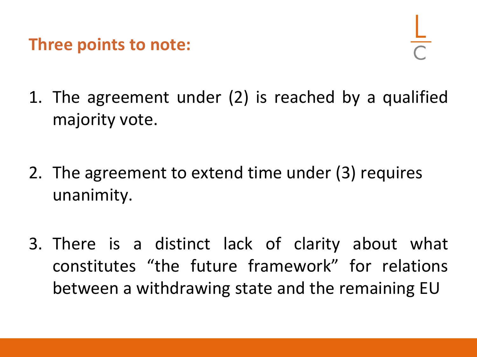**Three points to note:** 

- 1. The agreement under (2) is reached by a qualified majority vote.
- 2. The agreement to extend time under (3) requires unanimity.
- 3. There is a distinct lack of clarity about what constitutes "the future framework" for relations between a withdrawing state and the remaining EU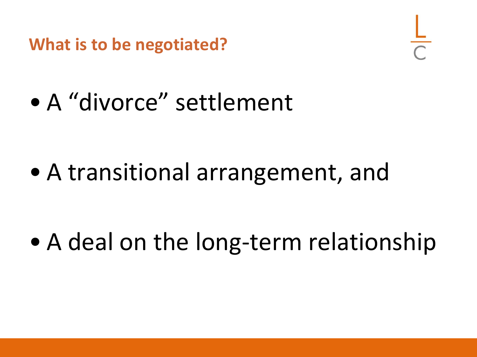**What is to be negotiated?** 

• A "divorce" settlement

• A transitional arrangement, and

• A deal on the long-term relationship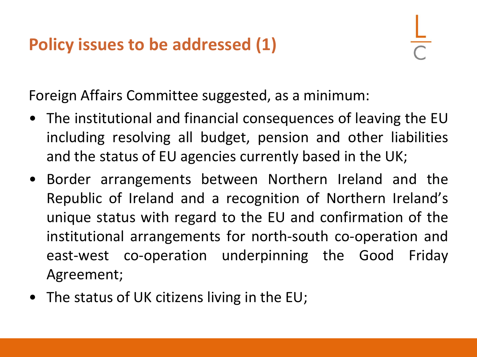Foreign Affairs Committee suggested, as a minimum:

- The institutional and financial consequences of leaving the EU including resolving all budget, pension and other liabilities and the status of EU agencies currently based in the UK;
- Border arrangements between Northern Ireland and the Republic of Ireland and a recognition of Northern Ireland's unique status with regard to the EU and confirmation of the institutional arrangements for north-south co-operation and east-west co-operation underpinning the Good Friday Agreement;
- The status of UK citizens living in the EU;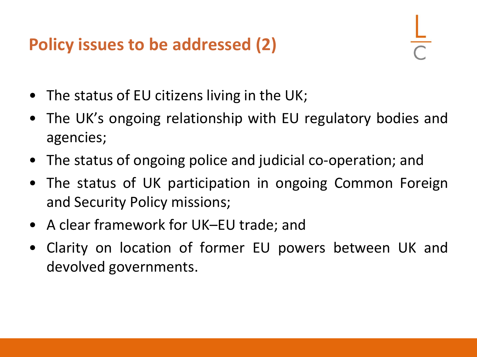#### **Policy issues to be addressed (2)**

- The status of EU citizens living in the UK;
- The UK's ongoing relationship with EU regulatory bodies and agencies;
- The status of ongoing police and judicial co-operation; and
- The status of UK participation in ongoing Common Foreign and Security Policy missions;
- A clear framework for UK–EU trade; and
- Clarity on location of former EU powers between UK and devolved governments.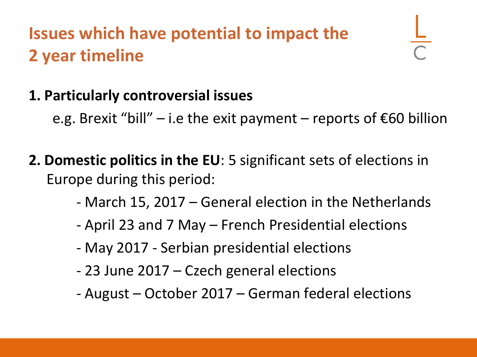#### **1. Particularly controversial issues**

e.g. Brexit "bill" – i.e the exit payment – reports of  $\epsilon$ 60 billion

- **2. Domestic politics in the EU**: 5 significant sets of elections in Europe during this period:
	- March 15, 2017 General election in the Netherlands
	- April 23 and 7 May French Presidential elections
	- May 2017 Serbian presidential elections
	- 23 June 2017 Czech general elections
	- August October 2017 German federal elections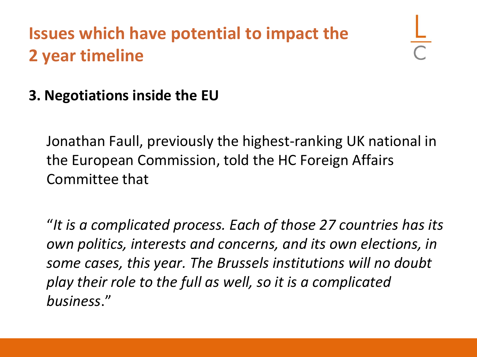**3. Negotiations inside the EU**

Jonathan Faull, previously the highest-ranking UK national in the European Commission, told the HC Foreign Affairs Committee that

"*It is a complicated process. Each of those 27 countries has its own politics, interests and concerns, and its own elections, in some cases, this year. The Brussels institutions will no doubt play their role to the full as well, so it is a complicated business*."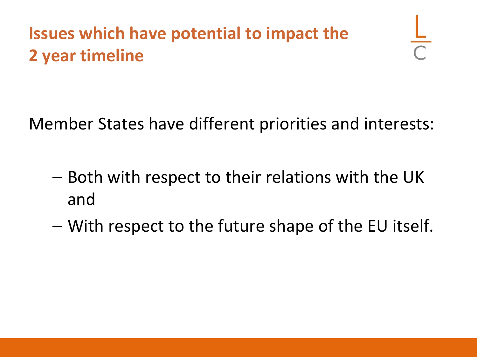Member States have different priorities and interests:

- Both with respect to their relations with the UK and
- With respect to the future shape of the EU itself.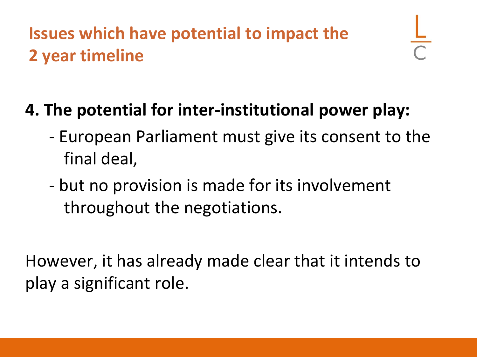# **4. The potential for inter-institutional power play:**

- European Parliament must give its consent to the final deal,
- but no provision is made for its involvement throughout the negotiations.

However, it has already made clear that it intends to play a significant role.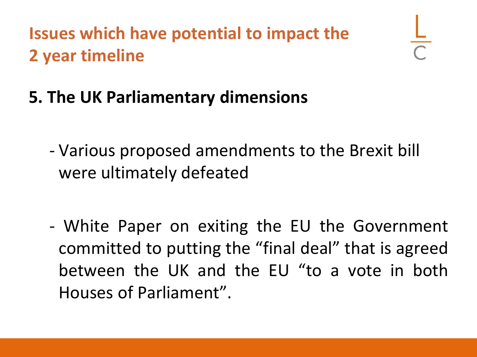- **5. The UK Parliamentary dimensions**
	- Various proposed amendments to the Brexit bill were ultimately defeated
	- White Paper on exiting the EU the Government committed to putting the "final deal" that is agreed between the UK and the EU "to a vote in both Houses of Parliament".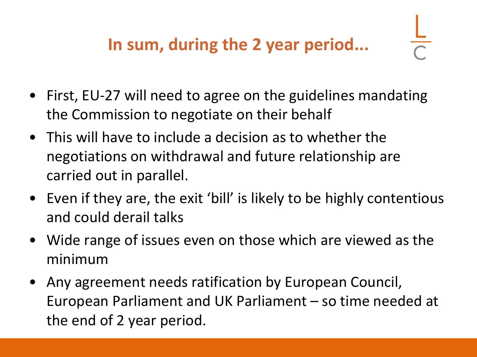- First, EU-27 will need to agree on the guidelines mandating the Commission to negotiate on their behalf
- This will have to include a decision as to whether the negotiations on withdrawal and future relationship are carried out in parallel.
- Even if they are, the exit 'bill' is likely to be highly contentious and could derail talks
- Wide range of issues even on those which are viewed as the minimum
- Any agreement needs ratification by European Council, European Parliament and UK Parliament – so time needed at the end of 2 year period.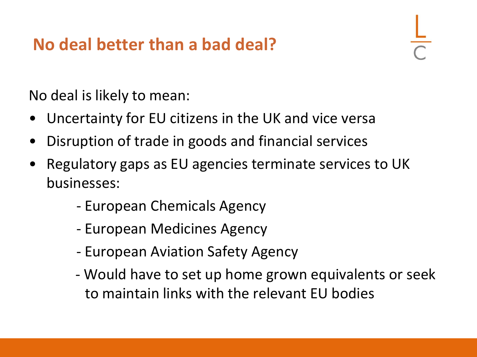#### **No deal better than a bad deal?**

No deal is likely to mean:

- Uncertainty for EU citizens in the UK and vice versa
- Disruption of trade in goods and financial services
- Regulatory gaps as EU agencies terminate services to UK businesses:
	- European Chemicals Agency
	- European Medicines Agency
	- European Aviation Safety Agency
	- Would have to set up home grown equivalents or seek to maintain links with the relevant EU bodies